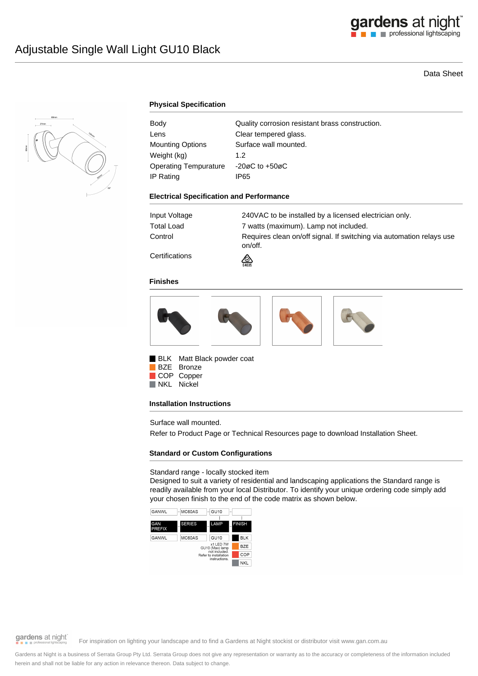

# Data Sheet



### **Physical Specification**

| Body                         | Quality corrosion resistant brass construction. |
|------------------------------|-------------------------------------------------|
| Lens                         | Clear tempered glass.                           |
| <b>Mounting Options</b>      | Surface wall mounted.                           |
| Weight (kg)                  | 1.2                                             |
| <b>Operating Tempurature</b> | $-20\varnothing$ C to $+50\varnothing$ C        |
| IP Rating                    | IP65                                            |

#### **Electrical Specification and Performance**

| Input Voltage  | 240VAC to be installed by a licensed electrician only.                          |
|----------------|---------------------------------------------------------------------------------|
| Total Load     | 7 watts (maximum). Lamp not included.                                           |
| Control        | Requires clean on/off signal. If switching via automation relays use<br>on/off. |
| Certifications | $\mathbb{Z}$                                                                    |



### **Finishes**



BLK Matt Black powder coat BZE Bronze COP Copper

NKL Nickel

### **Installation Instructions**

Surface wall mounted.

Refer to Product Page or Technical Resources page to download Installation Sheet.

## **Standard or Custom Configurations**

### Standard range - locally stocked item

Designed to suit a variety of residential and landscaping applications the Standard range is readily available from your local Distributor. To identify your unique ordering code simply add your chosen finish to the end of the code matrix as shown below.



gardens at night

For inspiration on lighting your landscape and to find a Gardens at Night stockist or distributor visit www.gan.com.au

Gardens at Night is a business of Serrata Group Pty Ltd. Serrata Group does not give any representation or warranty as to the accuracy or completeness of the information included herein and shall not be liable for any action in relevance thereon. Data subject to change.